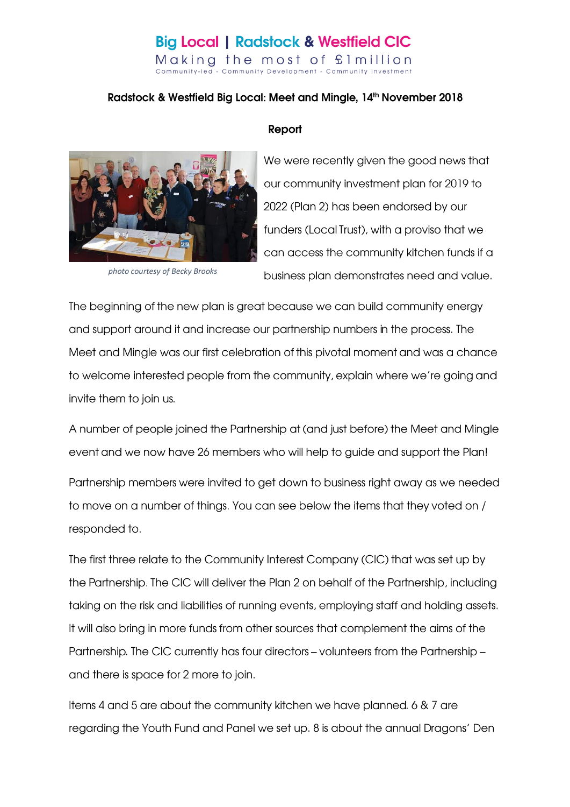### **Big Local | Radstock & Westfield CIC** Making the most of £1 million

Community-led - Community Development - Community Investment

### Radstock & Westfield Big Local: Meet and Mingle, 14th November 2018



photo courtesy of Becky Brooks

### Report

We were recently given the good news that our community investment plan for 2019 to 2022 (Plan 2) has been endorsed by our funders (Local Trust), with a proviso that we can access the community kitchen funds if a business plan demonstrates need and value.

The beginning of the new plan is great because we can build community energy and support around it and increase our partnership numbers in the process. The Meet and Mingle was our first celebration of this pivotal moment and was a chance to welcome interested people from the community, explain where we're going and invite them to join us.

A number of people joined the Partnership at (and just before) the Meet and Mingle event and we now have 26 members who will help to guide and support the Plan!

Partnership members were invited to get down to business right away as we needed to move on a number of things. You can see below the items that they voted on / responded to.

The first three relate to the Community Interest Company (CIC) that was set up by the Partnership. The CIC will deliver the Plan 2 on behalf of the Partnership, including taking on the risk and liabilities of running events, employing staff and holding assets. It will also bring in more funds from other sources that complement the aims of the Partnership. The CIC currently has four directors - volunteers from the Partnership and there is space for 2 more to join.

Items 4 and 5 are about the community kitchen we have planned. 6 & 7 are regarding the Youth Fund and Panel we set up. 8 is about the annual Dragons' Den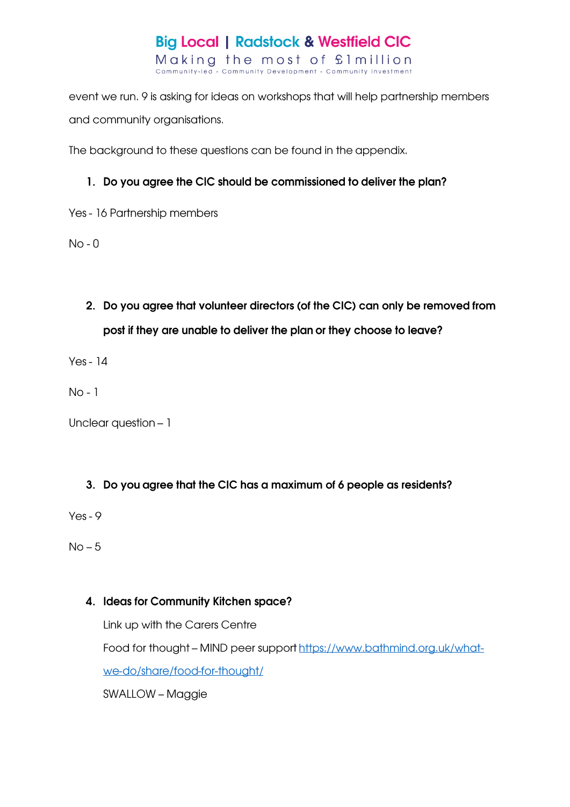

event we run. 9 is asking for ideas on workshops that will help partnership members and community organisations.

The background to these questions can be found in the appendix.

### 1. Do you agree the CIC should be commissioned to deliver the plan?

Yes - 16 Partnership members

 $No - 0$ 

2. Do you agree that volunteer directors (of the CIC) can only be removed from post if they are unable to deliver the plan or they choose to leave?

 $Yes - 14$ 

 $No - 1$ 

Unclear question - 1

### 3. Do you agree that the CIC has a maximum of 6 people as residents?

 $Yes - 9$ 

 $No-5$ 

### 4. Ideas for Community Kitchen space?

Link up with the Carers Centre Food for thought - MIND peer support https://www.bathmind.org.uk/whatwe-do/share/food-for-thought/

SWALLOW - Maggie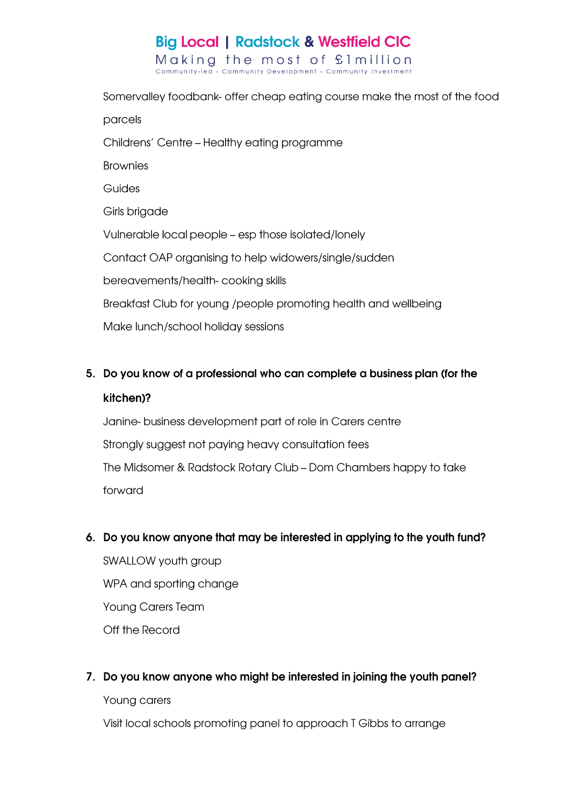Somervalley foodbank- offer cheap eating course make the most of the food parcels Childrens' Centre - Healthy eating programme **Brownies** Guides Girls brigade Vulnerable local people - esp those isolated/lonely Contact OAP organising to help widowers/single/sudden bereavements/health-cooking skills Breakfast Club for young /people promoting health and wellbeing Make lunch/school holiday sessions

## 5. Do you know of a professional who can complete a business plan (for the kitchen)?

Janine-business development part of role in Carers centre Strongly suggest not paying heavy consultation fees The Midsomer & Radstock Rotary Club - Dom Chambers happy to take forward

### 6. Do you know anyone that may be interested in applying to the youth fund?

SWALLOW youth group WPA and sporting change **Young Carers Team** Off the Record

### 7. Do you know anyone who might be interested in joining the youth panel?

Young carers

Visit local schools promoting panel to approach T Gibbs to arrange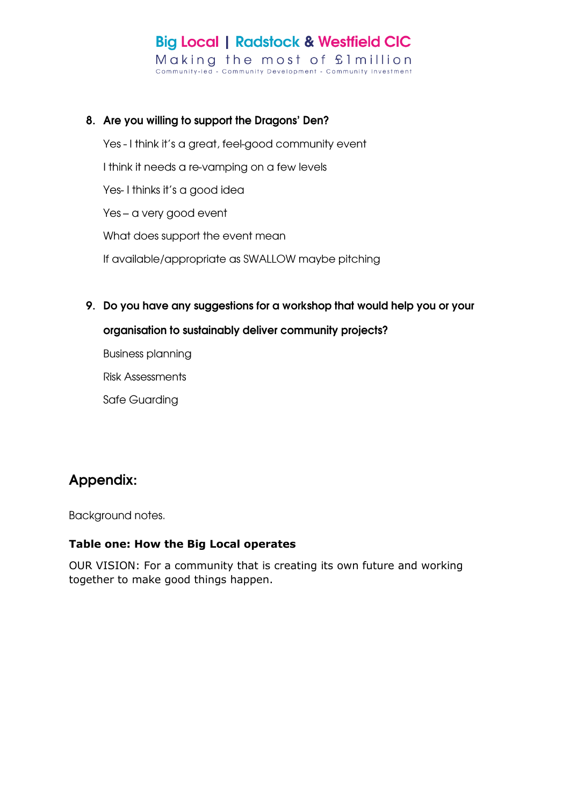### 8. Are you willing to support the Dragons' Den?

Yes - I think it's a great, feel-good community event I think it needs a re-vamping on a few levels Yes-I thinks it's a good idea Yes - a very good event What does support the event mean

- If available/appropriate as SWALLOW maybe pitching
- 9. Do you have any suggestions for a workshop that would help you or your

#### organisation to sustainably deliver community projects?

**Business planning** 

**Risk Assessments** 

Safe Guarding

### Appendix:

Background notes.

### Table one: How the Big Local operates

OUR VISION: For a community that is creating its own future and working together to make good things happen.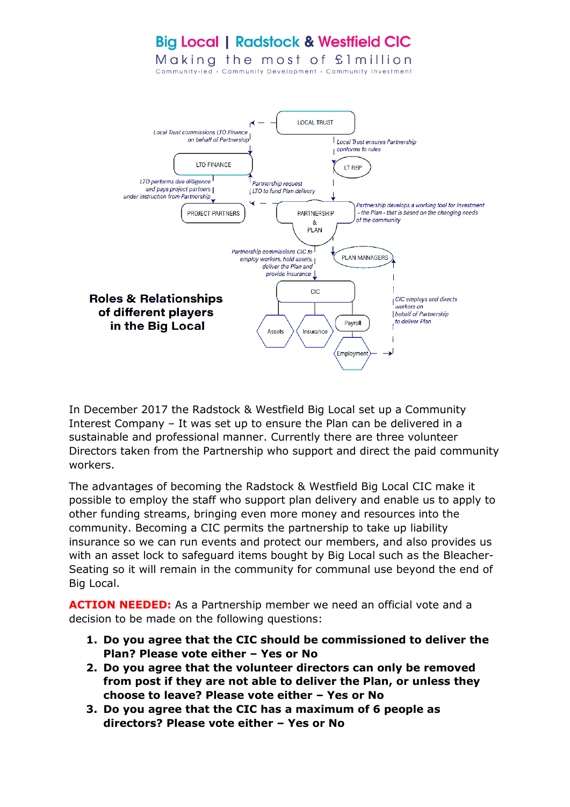

In December 2017 the Radstock & Westfield Big Local set up a Community Interest Company – It was set up to ensure the Plan can be delivered in a sustainable and professional manner. Currently there are three volunteer Directors taken from the Partnership who support and direct the paid community workers.

The advantages of becoming the Radstock & Westfield Big Local CIC make it possible to employ the staff who support plan delivery and enable us to apply to other funding streams, bringing even more money and resources into the community. Becoming a CIC permits the partnership to take up liability insurance so we can run events and protect our members, and also provides us with an asset lock to safeguard items bought by Big Local such as the Bleacher-Seating so it will remain in the community for communal use beyond the end of Big Local.

**ACTION NEEDED:** As a Partnership member we need an official vote and a decision to be made on the following questions:

- **1. Do you agree that the CIC should be commissioned to deliver the Plan? Please vote either – Yes or No**
- **2. Do you agree that the volunteer directors can only be removed from post if they are not able to deliver the Plan, or unless they choose to leave? Please vote either – Yes or No**
- **3. Do you agree that the CIC has a maximum of 6 people as directors? Please vote either – Yes or No**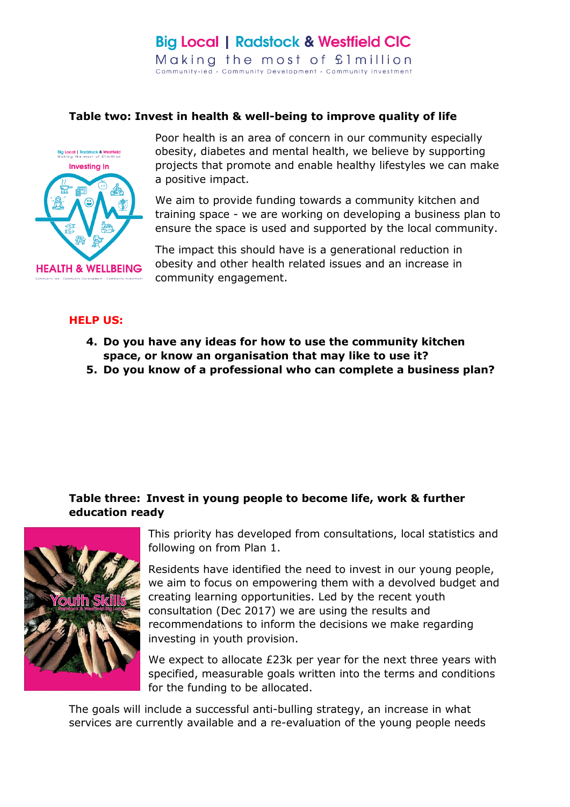#### **Table two: Invest in health & well-being to improve quality of life**



Poor health is an area of concern in our community especially obesity, diabetes and mental health, we believe by supporting projects that promote and enable healthy lifestyles we can make a positive impact.

We aim to provide funding towards a community kitchen and training space - we are working on developing a business plan to ensure the space is used and supported by the local community.

The impact this should have is a generational reduction in obesity and other health related issues and an increase in community engagement.

#### **HELP US:**

- **4. Do you have any ideas for how to use the community kitchen space, or know an organisation that may like to use it?**
- **5. Do you know of a professional who can complete a business plan?**

### **Table three: Invest in young people to become life, work & further education ready**



This priority has developed from consultations, local statistics and following on from Plan 1.

Residents have identified the need to invest in our young people, we aim to focus on empowering them with a devolved budget and creating learning opportunities. Led by the recent youth consultation (Dec 2017) we are using the results and recommendations to inform the decisions we make regarding investing in youth provision.

We expect to allocate £23k per year for the next three years with specified, measurable goals written into the terms and conditions for the funding to be allocated.

The goals will include a successful anti-bulling strategy, an increase in what services are currently available and a re-evaluation of the young people needs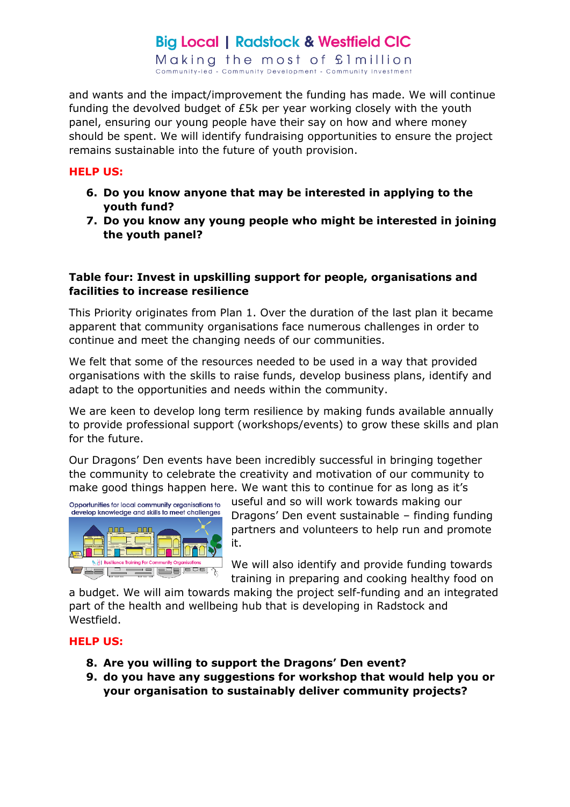# **Big Local | Radstock & Westfield CIC**

Making the most of £1 million Community-led - Community Development - Community Investment

and wants and the impact/improvement the funding has made. We will continue funding the devolved budget of £5k per year working closely with the youth panel, ensuring our young people have their say on how and where money should be spent. We will identify fundraising opportunities to ensure the project remains sustainable into the future of youth provision.

#### **HELP US:**

- **6. Do you know anyone that may be interested in applying to the youth fund?**
- **7. Do you know any young people who might be interested in joining the youth panel?**

### **Table four: Invest in upskilling support for people, organisations and facilities to increase resilience**

This Priority originates from Plan 1. Over the duration of the last plan it became apparent that community organisations face numerous challenges in order to continue and meet the changing needs of our communities.

We felt that some of the resources needed to be used in a way that provided organisations with the skills to raise funds, develop business plans, identify and adapt to the opportunities and needs within the community.

We are keen to develop long term resilience by making funds available annually to provide professional support (workshops/events) to grow these skills and plan for the future.

Our Dragons' Den events have been incredibly successful in bringing together the community to celebrate the creativity and motivation of our community to make good things happen here. We want this to continue for as long as it's



useful and so will work towards making our Dragons' Den event sustainable – finding funding partners and volunteers to help run and promote it.

We will also identify and provide funding towards training in preparing and cooking healthy food on

a budget. We will aim towards making the project self-funding and an integrated part of the health and wellbeing hub that is developing in Radstock and Westfield.

#### **HELP US:**

- **8. Are you willing to support the Dragons' Den event?**
- **9. do you have any suggestions for workshop that would help you or your organisation to sustainably deliver community projects?**